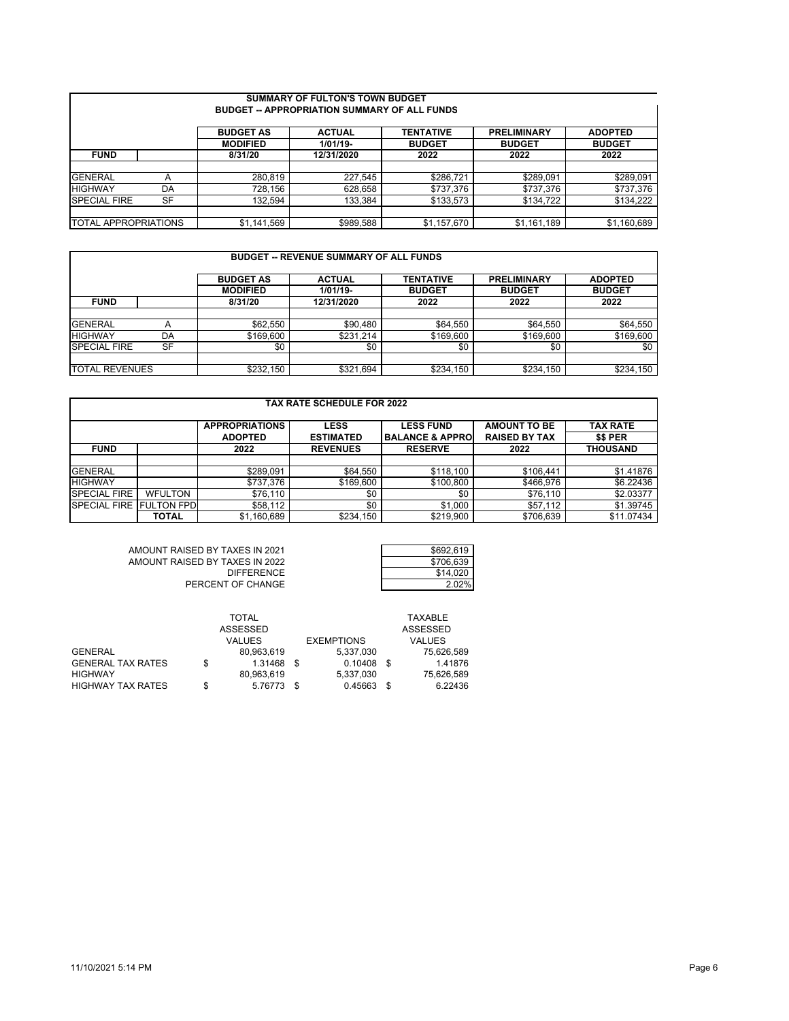| <b>SUMMARY OF FULTON'S TOWN BUDGET</b><br><b>BUDGET -- APPROPRIATION SUMMARY OF ALL FUNDS</b> |           |                  |               |                  |                    |                |  |  |  |  |  |
|-----------------------------------------------------------------------------------------------|-----------|------------------|---------------|------------------|--------------------|----------------|--|--|--|--|--|
|                                                                                               |           | <b>BUDGET AS</b> | <b>ACTUAL</b> | <b>TENTATIVE</b> | <b>PRELIMINARY</b> | <b>ADOPTED</b> |  |  |  |  |  |
|                                                                                               |           | <b>MODIFIED</b>  | $1/01/19-$    | <b>BUDGET</b>    | <b>BUDGET</b>      | <b>BUDGET</b>  |  |  |  |  |  |
| <b>FUND</b>                                                                                   |           | 8/31/20          | 12/31/2020    | 2022             | 2022               | 2022           |  |  |  |  |  |
|                                                                                               |           |                  |               |                  |                    |                |  |  |  |  |  |
| <b>GENERAL</b>                                                                                | Α         | 280,819          | 227.545       | \$286.721        | \$289,091          | \$289,091      |  |  |  |  |  |
| <b>HIGHWAY</b>                                                                                | DA        | 728,156          | 628,658       | \$737,376        | \$737,376          | \$737,376      |  |  |  |  |  |
| <b>SPECIAL FIRE</b>                                                                           | <b>SF</b> | 132.594          | 133.384       | \$133,573        | \$134.722          | \$134,222      |  |  |  |  |  |
|                                                                                               |           |                  |               |                  |                    |                |  |  |  |  |  |
| <b>ITOTAL APPROPRIATIONS</b>                                                                  |           | \$1,141,569      | \$989,588     | \$1,157,670      | \$1,161,189        | \$1,160,689    |  |  |  |  |  |

| <b>BUDGET -- REVENUE SUMMARY OF ALL FUNDS</b> |           |                  |               |                  |                    |                |  |  |  |  |  |
|-----------------------------------------------|-----------|------------------|---------------|------------------|--------------------|----------------|--|--|--|--|--|
|                                               |           | <b>BUDGET AS</b> | <b>ACTUAL</b> | <b>TENTATIVE</b> | <b>PRELIMINARY</b> | <b>ADOPTED</b> |  |  |  |  |  |
|                                               |           | <b>MODIFIED</b>  | $1/01/19 -$   | <b>BUDGET</b>    | <b>BUDGET</b>      | <b>BUDGET</b>  |  |  |  |  |  |
| <b>FUND</b>                                   |           | 8/31/20          | 12/31/2020    | 2022             | 2022               | 2022           |  |  |  |  |  |
|                                               |           |                  |               |                  |                    |                |  |  |  |  |  |
| <b>GENERAL</b>                                | A         | \$62,550         | \$90.480      | \$64,550         | \$64,550           | \$64,550       |  |  |  |  |  |
| <b>HIGHWAY</b>                                | DA        | \$169,600        | \$231.214     | \$169,600        | \$169,600          | \$169,600      |  |  |  |  |  |
| <b>SPECIAL FIRE</b>                           | <b>SF</b> | \$0              | \$0           | \$0              | \$0                | \$0            |  |  |  |  |  |
|                                               |           |                  |               |                  |                    |                |  |  |  |  |  |
| <b>TOTAL REVENUES</b>                         |           | \$232,150        | \$321,694     | \$234,150        | \$234,150          | \$234,150      |  |  |  |  |  |

| <b>TAX RATE SCHEDULE FOR 2022</b>                                        |                   |                |                  |                             |                      |                 |  |  |  |  |  |
|--------------------------------------------------------------------------|-------------------|----------------|------------------|-----------------------------|----------------------|-----------------|--|--|--|--|--|
| <b>AMOUNT TO BE</b><br><b>APPROPRIATIONS</b><br><b>LESS FUND</b><br>LESS |                   |                |                  |                             |                      |                 |  |  |  |  |  |
|                                                                          |                   | <b>ADOPTED</b> | <b>ESTIMATED</b> | <b>BALANCE &amp; APPROI</b> | <b>RAISED BY TAX</b> | \$\$ PER        |  |  |  |  |  |
| <b>FUND</b>                                                              |                   | 2022           | <b>REVENUES</b>  | <b>RESERVE</b>              | 2022                 | <b>THOUSAND</b> |  |  |  |  |  |
|                                                                          |                   |                |                  |                             |                      |                 |  |  |  |  |  |
| <b>GENERAL</b>                                                           |                   | \$289,091      | \$64,550         | \$118.100                   | \$106.441            | \$1.41876       |  |  |  |  |  |
| <b>HIGHWAY</b>                                                           |                   | \$737.376      | \$169,600        | \$100,800                   | \$466.976            | \$6.22436       |  |  |  |  |  |
| <b>SPECIAL FIRE</b>                                                      | <b>WFULTON</b>    | \$76,110       | \$0              | \$0                         | \$76,110             | \$2.03377       |  |  |  |  |  |
| <b>SPECIAL FIRE</b>                                                      | <b>FULTON FPD</b> | \$58,112       | \$0              | \$1.000                     | \$57.112             | \$1.39745       |  |  |  |  |  |
|                                                                          | <b>TOTAL</b>      | \$1,160,689    | \$234.150        | \$219,900                   | \$706,639            | \$11.07434      |  |  |  |  |  |

AMOUNT RAISED BY TAXES IN 2021 \$692,619 AMOUNT RAISED BY TAXES IN 2022 \$706,639 DIFFERENCE **blesseled at the set of the state of the state of the state of the state of the state of the state of the state of the state of the state of the state of the state of the state of the state of the state of the** PERCENT OF CHANGE **PERCENT OF CHANGE** 

| \$692,619 |
|-----------|
| \$706,639 |
| \$14,020  |
| 2.02%     |

|                          |    | TOTAL         |      |                   |      | <b>TAXABLE</b> |
|--------------------------|----|---------------|------|-------------------|------|----------------|
|                          |    | ASSESSED      |      |                   |      | ASSESSED       |
|                          |    | <b>VALUES</b> |      | <b>EXEMPTIONS</b> |      | VALUES         |
| <b>GENERAL</b>           |    | 80.963.619    |      | 5,337,030         |      | 75.626.589     |
| <b>GENERAL TAX RATES</b> | \$ | 1.31468 \$    |      | 0.10408           | - \$ | 1.41876        |
| <b>HIGHWAY</b>           |    | 80.963.619    |      | 5.337.030         |      | 75.626.589     |
| <b>HIGHWAY TAX RATES</b> | S  | 5.76773       | - \$ | 0.45663           | S    | 6.22436        |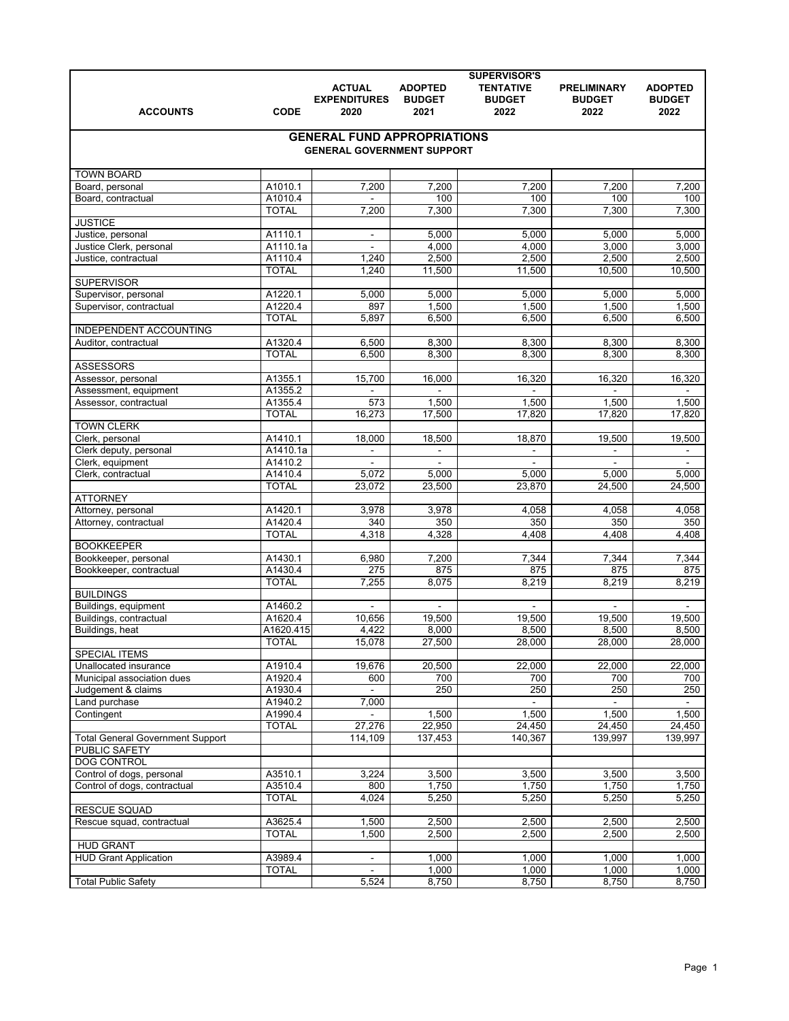| <b>SUPERVISOR'S</b>                                 |                         |                                                                         |                                         |                                           |                                             |                                         |  |  |
|-----------------------------------------------------|-------------------------|-------------------------------------------------------------------------|-----------------------------------------|-------------------------------------------|---------------------------------------------|-----------------------------------------|--|--|
| <b>ACCOUNTS</b>                                     | <b>CODE</b>             | <b>ACTUAL</b><br><b>EXPENDITURES</b><br>2020                            | <b>ADOPTED</b><br><b>BUDGET</b><br>2021 | <b>TENTATIVE</b><br><b>BUDGET</b><br>2022 | <b>PRELIMINARY</b><br><b>BUDGET</b><br>2022 | <b>ADOPTED</b><br><b>BUDGET</b><br>2022 |  |  |
|                                                     |                         |                                                                         |                                         |                                           |                                             |                                         |  |  |
|                                                     |                         | <b>GENERAL FUND APPROPRIATIONS</b><br><b>GENERAL GOVERNMENT SUPPORT</b> |                                         |                                           |                                             |                                         |  |  |
| <b>TOWN BOARD</b>                                   |                         |                                                                         |                                         |                                           |                                             |                                         |  |  |
| Board, personal                                     | A1010.1                 | 7,200                                                                   | 7,200                                   | 7,200                                     | 7,200                                       | 7,200                                   |  |  |
| Board, contractual                                  | A1010.4                 |                                                                         | 100                                     | 100                                       | 100                                         | 100                                     |  |  |
|                                                     | <b>TOTAL</b>            | 7,200                                                                   | 7,300                                   | 7,300                                     | 7,300                                       | 7,300                                   |  |  |
| <b>JUSTICE</b>                                      |                         |                                                                         |                                         |                                           |                                             |                                         |  |  |
| Justice, personal                                   | A1110.1                 | $\blacksquare$                                                          | 5.000                                   | 5,000                                     | 5,000                                       | 5,000                                   |  |  |
| Justice Clerk, personal                             | A1110.1a                |                                                                         | 4,000                                   | 4,000                                     | 3,000                                       | 3,000                                   |  |  |
| Justice, contractual                                | A1110.4<br><b>TOTAL</b> | 1,240                                                                   | 2,500                                   | 2,500                                     | 2,500                                       | 2,500                                   |  |  |
| <b>SUPERVISOR</b>                                   |                         | 1,240                                                                   | 11,500                                  | 11,500                                    | 10,500                                      | 10,500                                  |  |  |
| Supervisor, personal                                | A1220.1                 | 5,000                                                                   | 5,000                                   | 5,000                                     | 5,000                                       | 5,000                                   |  |  |
| Supervisor, contractual                             | A1220.4                 | 897                                                                     | 1,500                                   | 1,500                                     | 1,500                                       | 1,500                                   |  |  |
|                                                     | <b>TOTAL</b>            | 5,897                                                                   | 6,500                                   | 6,500                                     | 6,500                                       | 6,500                                   |  |  |
| INDEPENDENT ACCOUNTING                              |                         |                                                                         |                                         |                                           |                                             |                                         |  |  |
| Auditor, contractual                                | A1320.4                 | 6,500                                                                   | 8,300                                   | 8,300                                     | 8,300                                       | 8,300                                   |  |  |
|                                                     | <b>TOTAL</b>            | 6,500                                                                   | 8,300                                   | 8,300                                     | 8,300                                       | 8,300                                   |  |  |
| <b>ASSESSORS</b>                                    |                         |                                                                         |                                         |                                           |                                             |                                         |  |  |
| Assessor, personal                                  | A1355.1                 | 15,700                                                                  | 16,000                                  | 16,320                                    | 16,320                                      | 16,320                                  |  |  |
| Assessment, equipment                               | A1355.2<br>A1355.4      |                                                                         |                                         |                                           |                                             |                                         |  |  |
| Assessor, contractual                               | <b>TOTAL</b>            | 573<br>16,273                                                           | 1,500<br>17,500                         | 1,500<br>17,820                           | 1,500<br>17,820                             | 1,500<br>17,820                         |  |  |
| <b>TOWN CLERK</b>                                   |                         |                                                                         |                                         |                                           |                                             |                                         |  |  |
| Clerk, personal                                     | A1410.1                 | 18,000                                                                  | 18,500                                  | 18,870                                    | 19,500                                      | 19,500                                  |  |  |
| Clerk deputy, personal                              | A1410.1a                | $\blacksquare$                                                          | $\blacksquare$                          | $\blacksquare$                            | $\blacksquare$                              | $\sim$                                  |  |  |
| Clerk, equipment                                    | A1410.2                 | $\blacksquare$                                                          | $\blacksquare$                          | $\blacksquare$                            | $\blacksquare$                              | $\sim$                                  |  |  |
| Clerk, contractual                                  | A1410.4                 | 5,072                                                                   | 5,000                                   | 5,000                                     | 5,000                                       | 5,000                                   |  |  |
|                                                     | <b>TOTAL</b>            | 23,072                                                                  | 23,500                                  | 23,870                                    | 24,500                                      | 24,500                                  |  |  |
| <b>ATTORNEY</b>                                     |                         |                                                                         |                                         |                                           |                                             |                                         |  |  |
| Attorney, personal                                  | A1420.1                 | 3,978                                                                   | 3,978                                   | 4,058                                     | 4,058                                       | 4,058                                   |  |  |
| Attorney, contractual                               | A1420.4                 | 340                                                                     | 350                                     | 350                                       | 350                                         | 350                                     |  |  |
| <b>BOOKKEEPER</b>                                   | <b>TOTAL</b>            | 4,318                                                                   | 4,328                                   | 4,408                                     | 4,408                                       | 4,408                                   |  |  |
| Bookkeeper, personal                                | A1430.1                 | 6,980                                                                   | 7,200                                   | 7,344                                     | 7,344                                       | 7,344                                   |  |  |
| Bookkeeper, contractual                             | A1430.4                 | $\overline{275}$                                                        | 875                                     | 875                                       | 875                                         | 875                                     |  |  |
|                                                     | <b>TOTAL</b>            | 7,255                                                                   | 8,075                                   | 8,219                                     | 8,219                                       | 8,219                                   |  |  |
| <b>BUILDINGS</b>                                    |                         |                                                                         |                                         |                                           |                                             |                                         |  |  |
| Buildings, equipment                                | A1460.2                 | $\blacksquare$                                                          | $\overline{a}$                          | $\mathbf{r}$                              | $\blacksquare$                              | $\sim$                                  |  |  |
| Buildings, contractual                              | A1620.4                 | 10,656                                                                  | 19,500                                  | 19,500                                    | 19,500                                      | 19,500                                  |  |  |
| Buildings, heat                                     | A1620.415               | 4,422                                                                   | 8,000                                   | 8,500                                     | 8,500                                       | 8,500                                   |  |  |
|                                                     | <b>TOTAL</b>            | 15,078                                                                  | 27,500                                  | 28,000                                    | 28,000                                      | 28,000                                  |  |  |
| <b>SPECIAL ITEMS</b>                                |                         |                                                                         |                                         |                                           |                                             |                                         |  |  |
| Unallocated insurance<br>Municipal association dues | A1910.4<br>A1920.4      | 19,676<br>600                                                           | 20,500<br>700                           | 22,000<br>700                             | 22,000<br>700                               | 22,000<br>700                           |  |  |
| Judgement & claims                                  | A1930.4                 | $\blacksquare$                                                          | 250                                     | 250                                       | 250                                         | 250                                     |  |  |
| Land purchase                                       | A1940.2                 | 7,000                                                                   |                                         | $\blacksquare$                            |                                             |                                         |  |  |
| Contingent                                          | A1990.4                 | $\blacksquare$                                                          | 1,500                                   | 1,500                                     | 1,500                                       | 1,500                                   |  |  |
|                                                     | <b>TOTAL</b>            | 27,276                                                                  | 22,950                                  | 24,450                                    | 24,450                                      | 24,450                                  |  |  |
| <b>Total General Government Support</b>             |                         | 114,109                                                                 | 137,453                                 | 140,367                                   | 139,997                                     | 139,997                                 |  |  |
| PUBLIC SAFETY                                       |                         |                                                                         |                                         |                                           |                                             |                                         |  |  |
| <b>DOG CONTROL</b>                                  |                         |                                                                         |                                         |                                           |                                             |                                         |  |  |
| Control of dogs, personal                           | A3510.1                 | 3,224                                                                   | 3,500                                   | 3,500                                     | 3,500                                       | 3,500                                   |  |  |
| Control of dogs, contractual                        | A3510.4                 | 800                                                                     | 1,750                                   | 1,750                                     | 1,750                                       | 1,750                                   |  |  |
| <b>RESCUE SQUAD</b>                                 | <b>TOTAL</b>            | 4,024                                                                   | 5,250                                   | 5,250                                     | 5,250                                       | 5,250                                   |  |  |
| Rescue squad, contractual                           | A3625.4                 | 1,500                                                                   | 2,500                                   | 2,500                                     | 2,500                                       | 2,500                                   |  |  |
|                                                     | <b>TOTAL</b>            | 1,500                                                                   | 2,500                                   | 2,500                                     | 2,500                                       | 2,500                                   |  |  |
| <b>HUD GRANT</b>                                    |                         |                                                                         |                                         |                                           |                                             |                                         |  |  |
| <b>HUD Grant Application</b>                        | A3989.4                 | $\blacksquare$                                                          | 1,000                                   | 1,000                                     | 1,000                                       | 1,000                                   |  |  |
|                                                     | <b>TOTAL</b>            |                                                                         | 1,000                                   | 1,000                                     | 1,000                                       | 1,000                                   |  |  |
| <b>Total Public Safety</b>                          |                         | 5,524                                                                   | 8,750                                   | 8,750                                     | 8,750                                       | 8,750                                   |  |  |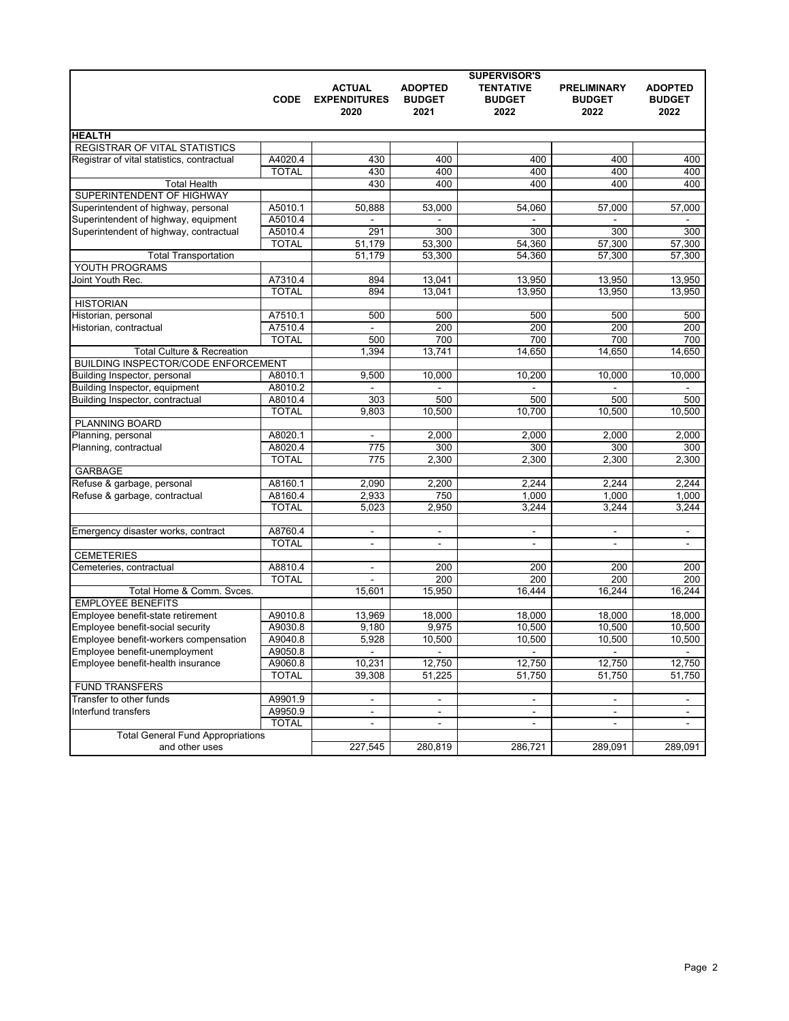|                                            |              |                                              |                                         | <b>SUPERVISOR'S</b>                       |                                             |                                         |
|--------------------------------------------|--------------|----------------------------------------------|-----------------------------------------|-------------------------------------------|---------------------------------------------|-----------------------------------------|
|                                            | <b>CODE</b>  | <b>ACTUAL</b><br><b>EXPENDITURES</b><br>2020 | <b>ADOPTED</b><br><b>BUDGET</b><br>2021 | <b>TENTATIVE</b><br><b>BUDGET</b><br>2022 | <b>PRELIMINARY</b><br><b>BUDGET</b><br>2022 | <b>ADOPTED</b><br><b>BUDGET</b><br>2022 |
| <b>HEALTH</b>                              |              |                                              |                                         |                                           |                                             |                                         |
| <b>REGISTRAR OF VITAL STATISTICS</b>       |              |                                              |                                         |                                           |                                             |                                         |
| Registrar of vital statistics, contractual | A4020.4      | 430                                          | 400                                     | 400                                       | 400                                         | 400                                     |
|                                            | <b>TOTAL</b> | 430                                          | 400                                     | 400                                       |                                             | 400                                     |
| <b>Total Health</b>                        |              | 430                                          | 400                                     | 400                                       | 400<br>400                                  | 400                                     |
| SUPERINTENDENT OF HIGHWAY                  |              |                                              |                                         |                                           |                                             |                                         |
| Superintendent of highway, personal        | A5010.1      | 50,888                                       |                                         | 54,060                                    | 57,000                                      | 57,000                                  |
| Superintendent of highway, equipment       | A5010.4      |                                              | 53,000                                  |                                           |                                             |                                         |
| Superintendent of highway, contractual     | A5010.4      | 291                                          | 300                                     | 300                                       | 300                                         | 300                                     |
|                                            | <b>TOTAL</b> | 51.179                                       | 53,300                                  | 54,360                                    | 57,300                                      | 57,300                                  |
| <b>Total Transportation</b>                |              | 51.179                                       | 53,300                                  | 54,360                                    | 57,300                                      | 57,300                                  |
| YOUTH PROGRAMS                             |              |                                              |                                         |                                           |                                             |                                         |
| Joint Youth Rec.                           | A7310.4      | 894                                          | 13,041                                  | 13,950                                    | 13,950                                      | 13,950                                  |
|                                            | <b>TOTAL</b> | 894                                          | 13,041                                  | 13,950                                    | 13,950                                      | 13,950                                  |
| <b>HISTORIAN</b>                           |              |                                              |                                         |                                           |                                             |                                         |
| Historian, personal                        | A7510.1      | 500                                          | 500                                     | 500                                       | 500                                         | 500                                     |
| Historian, contractual                     | A7510.4      |                                              | 200                                     | 200                                       | 200                                         | 200                                     |
|                                            | <b>TOTAL</b> | 500                                          | 700                                     | 700                                       | 700                                         | 700                                     |
| <b>Total Culture &amp; Recreation</b>      |              | 1,394                                        | 13,741                                  | 14,650                                    | 14.650                                      | 14,650                                  |
| <b>BUILDING INSPECTOR/CODE ENFORCEMENT</b> |              |                                              |                                         |                                           |                                             |                                         |
| Building Inspector, personal               | A8010.1      | 9,500                                        | 10.000                                  | 10,200                                    | 10,000                                      | 10,000                                  |
| Building Inspector, equipment              | A8010.2      |                                              |                                         |                                           |                                             |                                         |
| Building Inspector, contractual            | A8010.4      | 303                                          | 500                                     | 500                                       | 500                                         | 500                                     |
|                                            | <b>TOTAL</b> | 9,803                                        | 10,500                                  | 10.700                                    | 10,500                                      | 10.500                                  |
| PLANNING BOARD                             |              |                                              |                                         |                                           |                                             |                                         |
| Planning, personal                         | A8020.1      | $\blacksquare$                               | 2,000                                   | 2,000                                     | 2,000                                       | 2,000                                   |
| Planning, contractual                      | A8020.4      | 775                                          | 300                                     | 300                                       | 300                                         | 300                                     |
|                                            | <b>TOTAL</b> | 775                                          | 2,300                                   | 2,300                                     | 2,300                                       | 2,300                                   |
| <b>GARBAGE</b>                             |              |                                              |                                         |                                           |                                             |                                         |
| Refuse & garbage, personal                 | A8160.1      | 2,090                                        | 2,200                                   | 2,244                                     | 2,244                                       | 2,244                                   |
| Refuse & garbage, contractual              | A8160.4      | 2,933                                        | 750                                     | 1,000                                     | 1,000                                       | 1,000                                   |
|                                            | <b>TOTAL</b> | 5,023                                        | 2,950                                   | 3,244                                     | 3,244                                       | 3,244                                   |
|                                            |              |                                              |                                         |                                           |                                             |                                         |
| Emergency disaster works, contract         | A8760.4      | $\blacksquare$                               | $\blacksquare$                          | $\blacksquare$                            | $\blacksquare$                              | $\blacksquare$                          |
|                                            | <b>TOTAL</b> | $\mathbf{r}$                                 | L.                                      | $\blacksquare$                            | $\blacksquare$                              | $\blacksquare$                          |
| <b>CEMETERIES</b>                          |              |                                              |                                         |                                           |                                             |                                         |
| Cemeteries, contractual                    | A8810.4      |                                              | 200                                     | 200                                       | 200                                         | 200                                     |
|                                            | <b>TOTAL</b> |                                              | 200                                     | 200                                       | 200                                         | 200                                     |
| Total Home & Comm. Svces.                  |              | 15,601                                       | 15,950                                  | 16.444                                    | 16,244                                      | 16.244                                  |
| <b>EMPLOYEE BENEFITS</b>                   |              |                                              |                                         |                                           |                                             |                                         |
| Employee benefit-state retirement          | A9010.8      | 13,969                                       | 18.000                                  | 18,000                                    | 18,000                                      | 18,000                                  |
| Employee benefit-social security           | A9030.8      | 9,180                                        | 9,975                                   | 10,500                                    | 10,500                                      | 10,500                                  |
| Employee benefit-workers compensation      | A9040.8      | 5,928                                        | 10,500                                  | 10,500                                    | 10,500                                      | 10,500                                  |
| Employee benefit-unemployment              | A9050.8      | $\blacksquare$                               | ۰                                       | $\blacksquare$                            | $\blacksquare$                              |                                         |
| Employee benefit-health insurance          | A9060.8      | 10,231                                       | 12,750                                  | 12,750                                    | 12,750                                      | 12,750                                  |
|                                            | <b>TOTAL</b> | 39.308                                       | 51,225                                  | 51,750                                    | 51,750                                      | 51,750                                  |
| <b>FUND TRANSFERS</b>                      |              |                                              |                                         |                                           |                                             |                                         |
| Transfer to other funds                    | A9901.9      | $\blacksquare$                               | $\blacksquare$                          | $\blacksquare$                            | $\blacksquare$                              | $\blacksquare$                          |
| Interfund transfers                        | A9950.9      | $\blacksquare$                               | ٠                                       | $\blacksquare$                            | $\blacksquare$                              |                                         |
|                                            | <b>TOTAL</b> |                                              |                                         |                                           |                                             |                                         |
| <b>Total General Fund Appropriations</b>   |              |                                              |                                         |                                           |                                             |                                         |
| and other uses                             |              | 227,545                                      | 280,819                                 | 286,721                                   | 289,091                                     | 289,091                                 |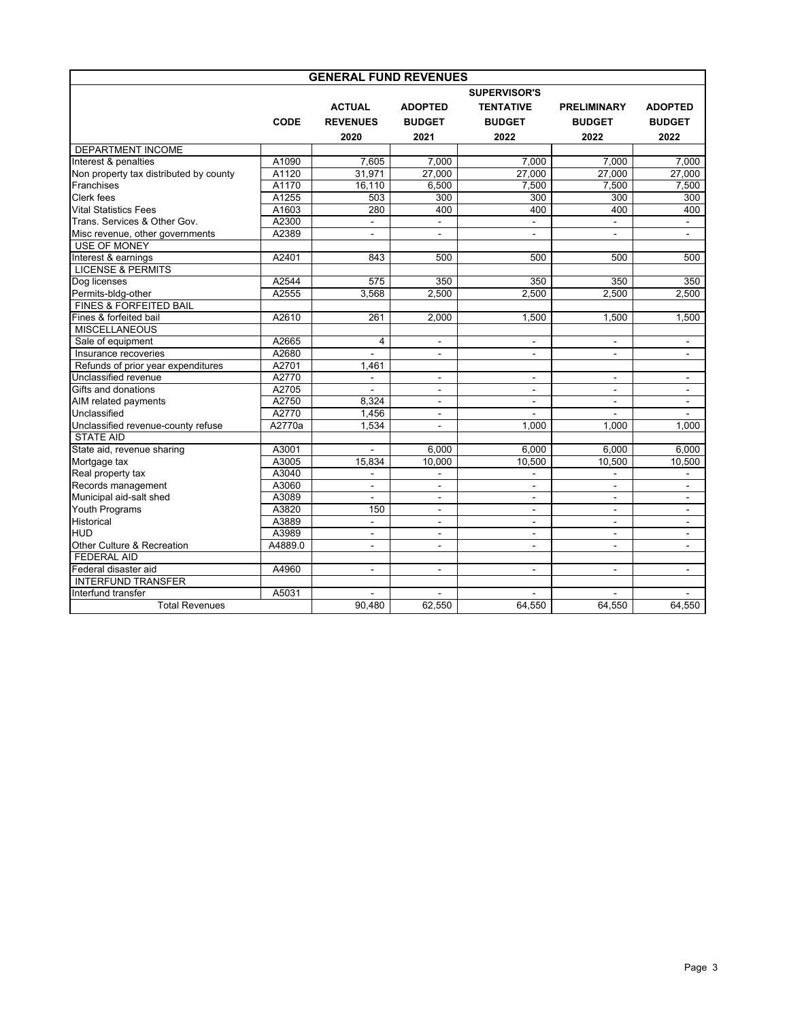| <b>GENERAL FUND REVENUES</b>           |             |                 |                          |                          |                    |                |  |  |  |  |
|----------------------------------------|-------------|-----------------|--------------------------|--------------------------|--------------------|----------------|--|--|--|--|
|                                        |             |                 |                          | <b>SUPERVISOR'S</b>      |                    |                |  |  |  |  |
|                                        |             | <b>ACTUAL</b>   | <b>ADOPTED</b>           | <b>TENTATIVE</b>         | <b>PRELIMINARY</b> | <b>ADOPTED</b> |  |  |  |  |
|                                        | <b>CODE</b> | <b>REVENUES</b> | <b>BUDGET</b>            | <b>BUDGET</b>            | <b>BUDGET</b>      | <b>BUDGET</b>  |  |  |  |  |
|                                        |             | 2020            | 2021                     | 2022                     | 2022               | 2022           |  |  |  |  |
| <b>DEPARTMENT INCOME</b>               |             |                 |                          |                          |                    |                |  |  |  |  |
| Interest & penalties                   | A1090       | 7,605           | 7,000                    | 7,000                    | 7.000              | 7,000          |  |  |  |  |
| Non property tax distributed by county | A1120       | 31.971          | 27.000                   | 27.000                   | 27.000             | 27.000         |  |  |  |  |
| Franchises                             | A1170       | 16,110          | 6,500                    | 7,500                    | 7,500              | 7,500          |  |  |  |  |
| Clerk fees                             | A1255       | 503             | 300                      | 300                      | 300                | 300            |  |  |  |  |
| <b>Vital Statistics Fees</b>           | A1603       | 280             | 400                      | 400                      | 400                | 400            |  |  |  |  |
| Trans. Services & Other Gov.           | A2300       | $\overline{a}$  | $\blacksquare$           | $\blacksquare$           | $\blacksquare$     | $\mathbf{r}$   |  |  |  |  |
| Misc revenue, other governments        | A2389       |                 |                          | ÷,                       |                    |                |  |  |  |  |
| <b>USE OF MONEY</b>                    |             |                 |                          |                          |                    |                |  |  |  |  |
| Interest & earnings                    | A2401       | 843             | 500                      | 500                      | 500                | 500            |  |  |  |  |
| <b>LICENSE &amp; PERMITS</b>           |             |                 |                          |                          |                    |                |  |  |  |  |
| Dog licenses                           | A2544       | 575             | 350                      | 350                      | 350                | 350            |  |  |  |  |
| Permits-bldg-other                     | A2555       | 3,568           | 2,500                    | 2,500                    | 2,500              | 2,500          |  |  |  |  |
| <b>FINES &amp; FORFEITED BAIL</b>      |             |                 |                          |                          |                    |                |  |  |  |  |
| Fines & forfeited bail                 | A2610       | 261             | 2,000                    | 1,500                    | 1,500              | 1,500          |  |  |  |  |
| <b>MISCELLANEOUS</b>                   |             |                 |                          |                          |                    |                |  |  |  |  |
| Sale of equipment                      | A2665       | $\overline{4}$  | $\blacksquare$           | $\blacksquare$           | $\blacksquare$     | $\sim$         |  |  |  |  |
| Insurance recoveries                   | A2680       | $\overline{a}$  | ÷.                       | $\blacksquare$           | $\blacksquare$     | $\blacksquare$ |  |  |  |  |
| Refunds of prior year expenditures     | A2701       | 1.461           |                          |                          |                    |                |  |  |  |  |
| Unclassified revenue                   | A2770       | $\blacksquare$  | $\blacksquare$           | $\blacksquare$           | $\blacksquare$     | $\blacksquare$ |  |  |  |  |
| Gifts and donations                    | A2705       | $\blacksquare$  | $\blacksquare$           | $\blacksquare$           | $\sim$             | $\sim$         |  |  |  |  |
| AIM related payments                   | A2750       | 8,324           | ٠                        | ÷.                       | $\overline{a}$     | $\sim$         |  |  |  |  |
| Unclassified                           | A2770       | 1,456           | $\blacksquare$           |                          |                    |                |  |  |  |  |
| Unclassified revenue-county refuse     | A2770a      | 1.534           |                          | 1.000                    | 1.000              | 1.000          |  |  |  |  |
| <b>STATE AID</b>                       |             |                 |                          |                          |                    |                |  |  |  |  |
| State aid, revenue sharing             | A3001       |                 | 6.000                    | 6.000                    | 6.000              | 6.000          |  |  |  |  |
| Mortgage tax                           | A3005       | 15,834          | 10.000                   | 10,500                   | 10,500             | 10,500         |  |  |  |  |
| Real property tax                      | A3040       | $\blacksquare$  | $\blacksquare$           | $\blacksquare$           | $\blacksquare$     | $\sim$         |  |  |  |  |
| Records management                     | A3060       | $\blacksquare$  | ٠                        | $\blacksquare$           | $\overline{a}$     | $\overline{a}$ |  |  |  |  |
| Municipal aid-salt shed                | A3089       |                 | ä,                       | $\blacksquare$           |                    |                |  |  |  |  |
| <b>Youth Programs</b>                  | A3820       | 150             | $\overline{\phantom{a}}$ | $\blacksquare$           | $\blacksquare$     | $\sim$         |  |  |  |  |
| Historical                             | A3889       | $\blacksquare$  | $\blacksquare$           | $\blacksquare$           | $\sim$             | $\blacksquare$ |  |  |  |  |
| <b>HUD</b>                             | A3989       | $\overline{a}$  | ٠                        | ÷.                       | $\sim$             | $\overline{a}$ |  |  |  |  |
| Other Culture & Recreation             | A4889.0     | $\blacksquare$  | $\overline{a}$           | $\overline{\phantom{a}}$ | $\blacksquare$     | $\blacksquare$ |  |  |  |  |
| <b>FEDERAL AID</b>                     |             |                 |                          |                          |                    |                |  |  |  |  |
| Federal disaster aid                   | A4960       | $\blacksquare$  | ÷,                       | $\blacksquare$           | $\mathbf{r}$       | $\blacksquare$ |  |  |  |  |
| <b>INTERFUND TRANSFER</b>              |             |                 |                          |                          |                    |                |  |  |  |  |
| Interfund transfer                     | A5031       |                 |                          |                          |                    |                |  |  |  |  |
| <b>Total Revenues</b>                  |             | 90.480          | 62,550                   | 64.550                   | 64.550             | 64,550         |  |  |  |  |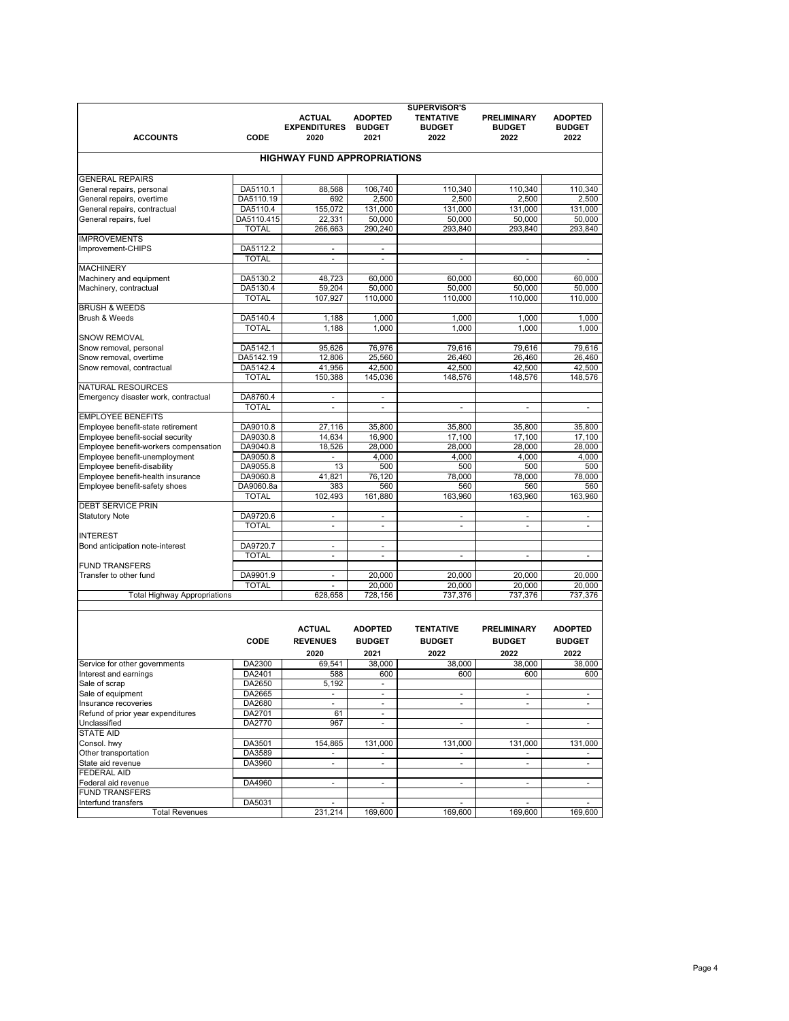| <b>ACCOUNTS</b>                                 | CODE                     | <b>ACTUAL</b><br><b>EXPENDITURES</b><br>2020 | <b>ADOPTED</b><br><b>BUDGET</b><br>2021 | <b>SUPERVISOR'S</b><br><b>TENTATIVE</b><br><b>BUDGET</b><br>2022 | <b>PRELIMINARY</b><br><b>BUDGET</b><br>2022 | <b>ADOPTED</b><br><b>BUDGET</b><br>2022 |
|-------------------------------------------------|--------------------------|----------------------------------------------|-----------------------------------------|------------------------------------------------------------------|---------------------------------------------|-----------------------------------------|
|                                                 |                          | <b>HIGHWAY FUND APPROPRIATIONS</b>           |                                         |                                                                  |                                             |                                         |
| <b>GENERAL REPAIRS</b>                          |                          |                                              |                                         |                                                                  |                                             |                                         |
| General repairs, personal                       | DA5110.1                 | 88,568                                       | 106,740                                 | 110.340                                                          | 110,340                                     | 110,340                                 |
| General repairs, overtime                       | DA5110.19                | 692                                          | 2.500                                   | 2.500                                                            | 2.500                                       | 2.500                                   |
| General repairs, contractual                    | DA5110.4                 | 155,072                                      | 131,000                                 | 131.000                                                          | 131,000                                     | 131,000                                 |
| General repairs, fuel                           | DA5110.415               | 22,331                                       | 50.000                                  | 50.000                                                           | 50.000                                      | 50.000                                  |
|                                                 | <b>TOTAL</b>             | 266,663                                      | 290,240                                 | 293,840                                                          | 293,840                                     | 293,840                                 |
| <b>IMPROVEMENTS</b>                             |                          |                                              |                                         |                                                                  |                                             |                                         |
| Improvement-CHIPS                               | DA5112.2                 | $\mathcal{L}_{\mathcal{A}}$                  | $\blacksquare$                          |                                                                  |                                             |                                         |
|                                                 | <b>TOTAL</b>             | ÷.                                           | $\blacksquare$                          | ÷.                                                               | ä,                                          | ÷,                                      |
| <b>MACHINERY</b>                                |                          |                                              |                                         |                                                                  |                                             |                                         |
| Machinery and equipment                         | DA5130.2                 | 48.723                                       | 60.000                                  | 60.000                                                           | 60.000                                      | 60.000                                  |
| Machinery, contractual                          | DA5130.4                 | 59,204                                       | 50.000                                  | 50,000                                                           | 50.000                                      | 50,000                                  |
|                                                 | <b>TOTAL</b>             | 107,927                                      | 110,000                                 | 110,000                                                          | 110,000                                     | 110,000                                 |
| <b>BRUSH &amp; WEEDS</b>                        |                          |                                              |                                         |                                                                  |                                             |                                         |
| <b>Brush &amp; Weeds</b>                        | DA5140.4                 | 1,188                                        | 1.000                                   | 1.000                                                            | 1.000                                       | 1.000                                   |
|                                                 | <b>TOTAL</b>             | 1,188                                        | 1.000                                   | 1,000                                                            | 1.000                                       | 1.000                                   |
| <b>SNOW REMOVAL</b>                             |                          |                                              |                                         |                                                                  |                                             |                                         |
| Snow removal, personal                          | DA5142.1                 | 95,626                                       | 76,976                                  | 79,616                                                           | 79,616                                      | 79,616                                  |
| Snow removal, overtime                          | DA5142.19                | 12.806                                       | 25.560                                  | 26,460                                                           | 26.460                                      | 26,460                                  |
| Snow removal, contractual                       | DA5142.4                 | 41,956                                       | 42,500                                  | 42,500                                                           | 42,500                                      | 42,500                                  |
|                                                 | <b>TOTAL</b>             | 150,388                                      | 145,036                                 | 148,576                                                          | 148,576                                     | 148,576                                 |
| <b>NATURAL RESOURCES</b>                        |                          |                                              |                                         |                                                                  |                                             |                                         |
| Emergency disaster work, contractual            | DA8760.4                 | $\blacksquare$                               | $\blacksquare$                          |                                                                  |                                             |                                         |
|                                                 | <b>TOTAL</b>             |                                              |                                         |                                                                  |                                             | L,                                      |
| <b>EMPLOYEE BENEFITS</b>                        |                          |                                              |                                         |                                                                  |                                             |                                         |
| Employee benefit-state retirement               | DA9010.8                 | 27,116                                       | 35,800                                  | 35,800                                                           | 35,800                                      | 35,800                                  |
| Employee benefit-social security                | DA9030.8                 | 14.634                                       | 16,900                                  | 17,100                                                           | 17.100                                      | 17.100                                  |
| Employee benefit-workers compensation           | DA9040.8                 | 18,526                                       | 28,000                                  | 28,000                                                           | 28,000                                      | 28,000                                  |
| Employee benefit-unemployment                   | DA9050.8                 | $\sim$                                       | 4,000                                   | 4,000                                                            | 4,000                                       | 4,000                                   |
| Employee benefit-disability                     | DA9055.8                 | 13                                           | 500                                     | 500                                                              | 500                                         | 500                                     |
| Employee benefit-health insurance               | DA9060.8                 | 41.821                                       | 76,120                                  | 78,000                                                           | 78,000                                      | 78,000                                  |
| Employee benefit-safety shoes                   | DA9060.8a                | 383                                          | 560                                     | 560                                                              | 560                                         | 560                                     |
|                                                 | TOTAL                    | 102.493                                      | 161.880                                 | 163.960                                                          | 163.960                                     | 163.960                                 |
| <b>DEBT SERVICE PRIN</b>                        |                          |                                              |                                         |                                                                  |                                             |                                         |
| <b>Statutory Note</b>                           | DA9720.6                 | $\blacksquare$                               | ÷.                                      | ÷.                                                               | ÷.                                          | ä,                                      |
|                                                 | <b>TOTAL</b>             |                                              |                                         |                                                                  |                                             | L.                                      |
| <b>INTEREST</b>                                 |                          |                                              |                                         |                                                                  |                                             |                                         |
| Bond anticipation note-interest                 | DA9720.7<br><b>TOTAL</b> | ÷.                                           | ÷.                                      |                                                                  |                                             |                                         |
|                                                 |                          | ×.                                           | ÷.                                      | ÷.                                                               | ÷.                                          | ä,                                      |
| <b>FUND TRANSFERS</b><br>Transfer to other fund |                          |                                              | 20,000                                  |                                                                  |                                             | 20.000                                  |
|                                                 | DA9901.9<br><b>TOTAL</b> | $\sim$                                       | 20.000                                  | 20,000<br>20.000                                                 | 20,000<br>20.000                            | 20.000                                  |
|                                                 |                          | 628.658                                      |                                         | 737.376                                                          |                                             |                                         |
| <b>Total Highway Appropriations</b>             |                          |                                              | 728,156                                 |                                                                  | 737,376                                     | 737,376                                 |

|                                   | <b>CODE</b> | <b>ACTUAL</b><br><b>REVENUES</b> | <b>ADOPTED</b><br><b>BUDGET</b> | <b>TENTATIVE</b><br><b>BUDGET</b> | <b>PRELIMINARY</b><br><b>BUDGET</b> | <b>ADOPTED</b><br><b>BUDGET</b> |
|-----------------------------------|-------------|----------------------------------|---------------------------------|-----------------------------------|-------------------------------------|---------------------------------|
|                                   |             | 2020                             | 2021                            | 2022                              | 2022                                | 2022                            |
| Service for other governments     | DA2300      | 69.541                           | 38,000                          | 38,000                            | 38.000                              | 38,000                          |
| Interest and earnings             | DA2401      | 588                              | 600                             | 600                               | 600                                 | 600                             |
| Sale of scrap                     | DA2650      | 5,192                            | $\overline{\phantom{0}}$        |                                   |                                     |                                 |
| Sale of equipment                 | DA2665      | ٠                                | $\overline{\phantom{a}}$        | $\overline{\phantom{0}}$          | ۰                                   | ۰                               |
| Insurance recoveries              | DA2680      | ٠                                | $\overline{\phantom{0}}$        | ۰                                 | ۰                                   | ۰                               |
| Refund of prior year expenditures | DA2701      | 61                               | $\overline{\phantom{0}}$        |                                   |                                     |                                 |
| Unclassified                      | DA2770      | 967                              | $\overline{\phantom{a}}$        | ٠                                 | ٠                                   | ۰                               |
| <b>STATE AID</b>                  |             |                                  |                                 |                                   |                                     |                                 |
| Consol. hwy                       | DA3501      | 154.865                          | 131.000                         | 131,000                           | 131,000                             | 131,000                         |
| Other transportation              | DA3589      | $\overline{a}$                   | $\overline{\phantom{0}}$        | ٠                                 | ۰                                   |                                 |
| State aid revenue                 | DA3960      | ٠                                | $\overline{\phantom{0}}$        | ۰                                 | ۰                                   | ۰                               |
| <b>FEDERAL AID</b>                |             |                                  |                                 |                                   |                                     |                                 |
| Federal aid revenue               | DA4960      | ۰                                | $\overline{\phantom{0}}$        | $\overline{\phantom{0}}$          | ۰                                   | ۰                               |
| <b>FUND TRANSFERS</b>             |             |                                  |                                 |                                   |                                     |                                 |
| Interfund transfers               | DA5031      | -                                |                                 | ۰                                 | ۰                                   |                                 |
| <b>Total Revenues</b>             |             | 231,214                          | 169.600                         | 169.600                           | 169.600                             | 169,600                         |